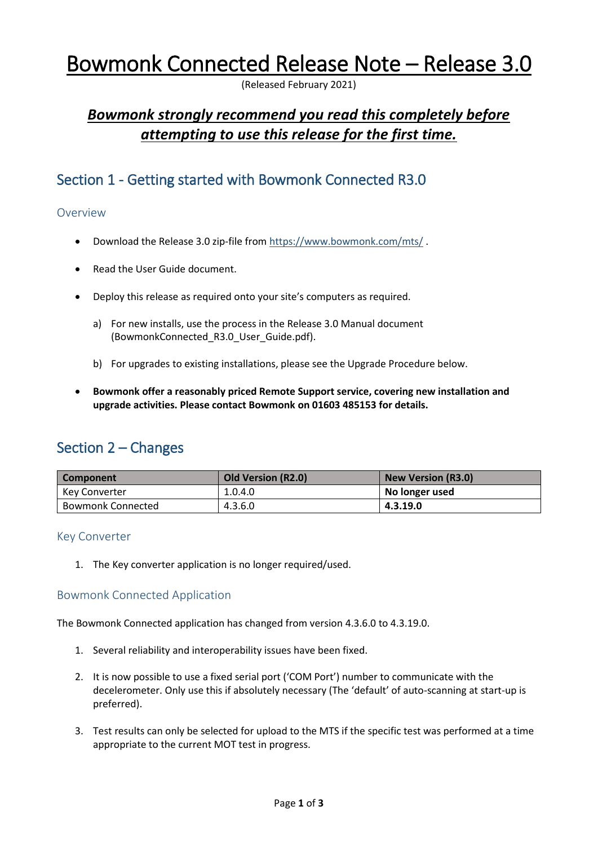# Bowmonk Connected Release Note – Release 3.0

(Released February 2021)

# *Bowmonk strongly recommend you read this completely before attempting to use this release for the first time.*

# Section 1 - Getting started with Bowmonk Connected R3.0

# Overview

- Download the Release 3.0 zip-file from<https://www.bowmonk.com/mts/> .
- Read the User Guide document.
- Deploy this release as required onto your site's computers as required.
	- a) For new installs, use the process in the Release 3.0 Manual document (BowmonkConnected\_R3.0\_User\_Guide.pdf).
	- b) For upgrades to existing installations, please see the Upgrade Procedure below.
- **Bowmonk offer a reasonably priced Remote Support service, covering new installation and upgrade activities. Please contact Bowmonk on 01603 485153 for details.**

# Section 2 – Changes

| <b>Component</b>         | <b>Old Version (R2.0)</b> | <b>New Version (R3.0)</b> |
|--------------------------|---------------------------|---------------------------|
| Kev Converter            | 1.0.4.0                   | No longer used            |
| <b>Bowmonk Connected</b> | 4.3.6.0                   | 4.3.19.0                  |

# Key Converter

1. The Key converter application is no longer required/used.

# Bowmonk Connected Application

The Bowmonk Connected application has changed from version 4.3.6.0 to 4.3.19.0.

- 1. Several reliability and interoperability issues have been fixed.
- 2. It is now possible to use a fixed serial port ('COM Port') number to communicate with the decelerometer. Only use this if absolutely necessary (The 'default' of auto-scanning at start-up is preferred).
- 3. Test results can only be selected for upload to the MTS if the specific test was performed at a time appropriate to the current MOT test in progress.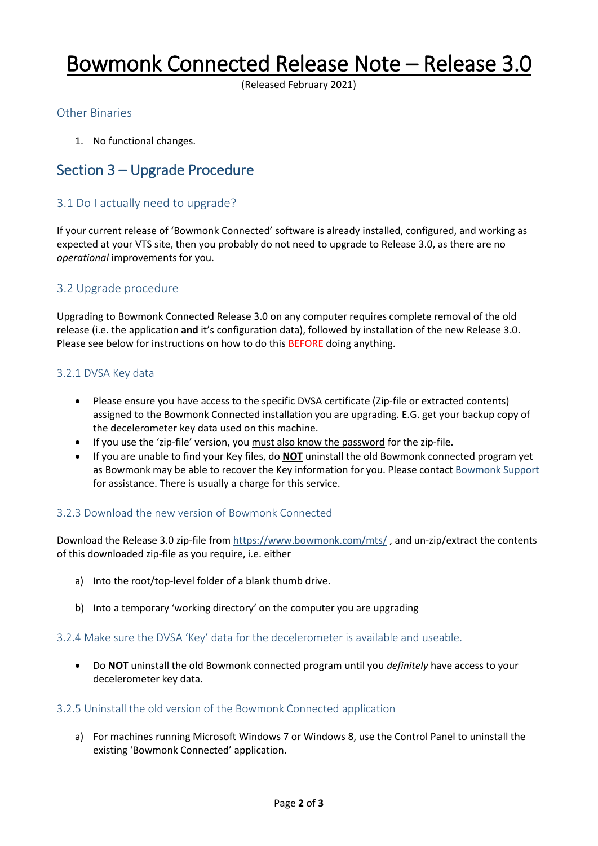# Bowmonk Connected Release Note – Release 3.0

(Released February 2021)

## Other Binaries

1. No functional changes.

# Section 3 – Upgrade Procedure

## 3.1 Do I actually need to upgrade?

If your current release of 'Bowmonk Connected' software is already installed, configured, and working as expected at your VTS site, then you probably do not need to upgrade to Release 3.0, as there are no *operational* improvements for you.

### 3.2 Upgrade procedure

Upgrading to Bowmonk Connected Release 3.0 on any computer requires complete removal of the old release (i.e. the application **and** it's configuration data), followed by installation of the new Release 3.0. Please see below for instructions on how to do this BEFORE doing anything.

### 3.2.1 DVSA Key data

- Please ensure you have access to the specific DVSA certificate (Zip-file or extracted contents) assigned to the Bowmonk Connected installation you are upgrading. E.G. get your backup copy of the decelerometer key data used on this machine.
- If you use the 'zip-file' version, you must also know the password for the zip-file.
- If you are unable to find your Key files, do **NOT** uninstall the old Bowmonk connected program yet as Bowmonk may be able to recover the Key information for you. Please contact [Bowmonk Support](mailto:support@bowmonk.com) for assistance. There is usually a charge for this service.

#### 3.2.3 Download the new version of Bowmonk Connected

Download the Release 3.0 zip-file from <https://www.bowmonk.com/mts/> , and un-zip/extract the contents of this downloaded zip-file as you require, i.e. either

- a) Into the root/top-level folder of a blank thumb drive.
- b) Into a temporary 'working directory' on the computer you are upgrading

#### 3.2.4 Make sure the DVSA 'Key' data for the decelerometer is available and useable.

 Do **NOT** uninstall the old Bowmonk connected program until you *definitely* have access to your decelerometer key data.

#### 3.2.5 Uninstall the old version of the Bowmonk Connected application

a) For machines running Microsoft Windows 7 or Windows 8, use the Control Panel to uninstall the existing 'Bowmonk Connected' application.